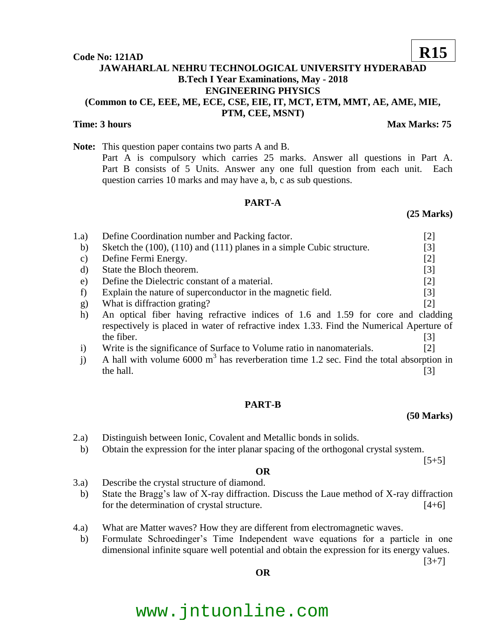#### **Code No: 121AD**

## **JAWAHARLAL NEHRU TECHNOLOGICAL UNIVERSITY HYDERABAD B.Tech I Year Examinations, May - 2018 ENGINEERING PHYSICS (Common to CE, EEE, ME, ECE, CSE, EIE, IT, MCT, ETM, MMT, AE, AME, MIE, PTM, CEE, MSNT)**

### **Time: 3 hours** Max Marks: 75

**Note:** This question paper contains two parts A and B. Part A is compulsory which carries 25 marks. Answer all questions in Part A. Part B consists of 5 Units. Answer any one full question from each unit. Each question carries 10 marks and may have a, b, c as sub questions.

### **PART-A**

## 1.a) Define Coordination number and Packing factor. [2] b) Sketch the  $(100)$ ,  $(110)$  and  $(111)$  planes in a simple Cubic structure. [3] c) Define Fermi Energy. [2] d) State the Bloch theorem. [3] e) Define the Dielectric constant of a material. [2] f) Explain the nature of superconductor in the magnetic field. [3] g) What is diffraction grating? [2] h) An optical fiber having refractive indices of 1.6 and 1.59 for core and cladding respectively is placed in water of refractive index 1.33. Find the Numerical Aperture of the fiber.  $[3]$

- i) Write is the significance of Surface to Volume ratio in nanomaterials. [2]
- j) A hall with volume  $6000 \text{ m}^3$  has reverberation time 1.2 sec. Find the total absorption in  $\mathbb{R}$  the hall.  $\qquad \qquad \text{[3]}$

#### **PART-B**

## **(50 Marks)**

 $[5+5]$ 

- 2.a) Distinguish between Ionic, Covalent and Metallic bonds in solids.
- b) Obtain the expression for the inter planar spacing of the orthogonal crystal system.

**OR**

- 3.a) Describe the crystal structure of diamond.
- b) State the Bragg's law of X-ray diffraction. Discuss the Laue method of X-ray diffraction for the determination of crystal structure. [4+6]
- 4.a) What are Matter waves? How they are different from electromagnetic waves.
	- b) Formulate Schroedinger's Time Independent wave equations for a particle in one dimensional infinite square well potential and obtain the expression for its energy values.

 $[3+7]$ 

# **OR**

# www.jntuonline.com

**R15**

## **(25 Marks)**